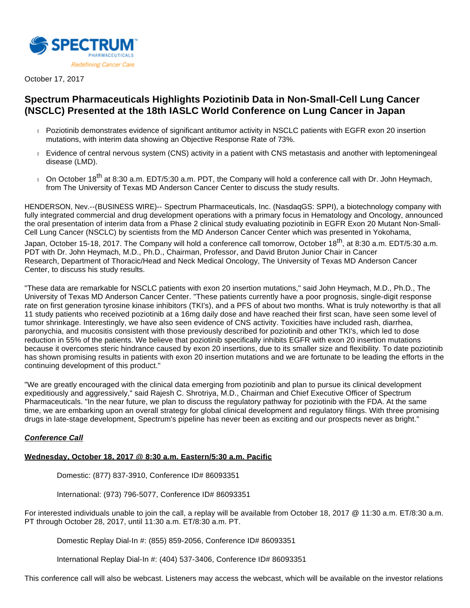

October 17, 2017

# **Spectrum Pharmaceuticals Highlights Poziotinib Data in Non-Small-Cell Lung Cancer (NSCLC) Presented at the 18th IASLC World Conference on Lung Cancer in Japan**

- Poziotinib demonstrates evidence of significant antitumor activity in NSCLC patients with EGFR exon 20 insertion mutations, with interim data showing an Objective Response Rate of 73%.
- Evidence of central nervous system (CNS) activity in a patient with CNS metastasis and another with leptomeningeal disease (LMD).
- On October 18<sup>th</sup> at 8:30 a.m. EDT/5:30 a.m. PDT, the Company will hold a conference call with Dr. John Heymach, from The University of Texas MD Anderson Cancer Center to discuss the study results.

HENDERSON, Nev.--(BUSINESS WIRE)-- Spectrum Pharmaceuticals, Inc. (NasdaqGS: SPPI), a biotechnology company with fully integrated commercial and drug development operations with a primary focus in Hematology and Oncology, announced the oral presentation of interim data from a Phase 2 clinical study evaluating poziotinib in EGFR Exon 20 Mutant Non-Small-Cell Lung Cancer (NSCLC) by scientists from the MD Anderson Cancer Center which was presented in Yokohama,

Japan, October 15-18, 2017. The Company will hold a conference call tomorrow, October 18<sup>th</sup>, at 8:30 a.m. EDT/5:30 a.m. PDT with Dr. John Heymach, M.D., Ph.D., Chairman, Professor, and David Bruton Junior Chair in Cancer Research, Department of Thoracic/Head and Neck Medical Oncology, The University of Texas MD Anderson Cancer Center, to discuss his study results.

"These data are remarkable for NSCLC patients with exon 20 insertion mutations," said John Heymach, M.D., Ph.D., The University of Texas MD Anderson Cancer Center. "These patients currently have a poor prognosis, single-digit response rate on first generation tyrosine kinase inhibitors (TKI's), and a PFS of about two months. What is truly noteworthy is that all 11 study patients who received poziotinib at a 16mg daily dose and have reached their first scan, have seen some level of tumor shrinkage. Interestingly, we have also seen evidence of CNS activity. Toxicities have included rash, diarrhea, paronychia, and mucositis consistent with those previously described for poziotinib and other TKI's, which led to dose reduction in 55% of the patients. We believe that poziotinib specifically inhibits EGFR with exon 20 insertion mutations because it overcomes steric hindrance caused by exon 20 insertions, due to its smaller size and flexibility. To date poziotinib has shown promising results in patients with exon 20 insertion mutations and we are fortunate to be leading the efforts in the continuing development of this product."

"We are greatly encouraged with the clinical data emerging from poziotinib and plan to pursue its clinical development expeditiously and aggressively," said Rajesh C. Shrotriya, M.D., Chairman and Chief Executive Officer of Spectrum Pharmaceuticals. "In the near future, we plan to discuss the regulatory pathway for poziotinib with the FDA. At the same time, we are embarking upon an overall strategy for global clinical development and regulatory filings. With three promising drugs in late-stage development, Spectrum's pipeline has never been as exciting and our prospects never as bright."

### **Conference Call**

## **Wednesday, October 18, 2017 @ 8:30 a.m. Eastern/5:30 a.m. Pacific**

Domestic: (877) 837-3910, Conference ID# 86093351

International: (973) 796-5077, Conference ID# 86093351

For interested individuals unable to join the call, a replay will be available from October 18, 2017 @ 11:30 a.m. ET/8:30 a.m. PT through October 28, 2017, until 11:30 a.m. ET/8:30 a.m. PT.

Domestic Replay Dial-In #: (855) 859-2056, Conference ID# 86093351

International Replay Dial-In #: (404) 537-3406, Conference ID# 86093351

This conference call will also be webcast. Listeners may access the webcast, which will be available on the investor relations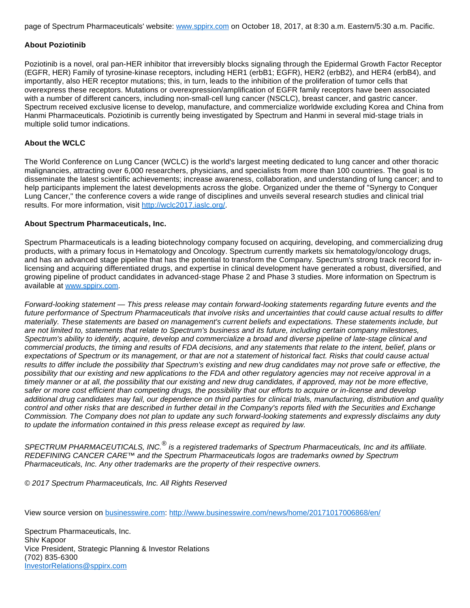page of Spectrum Pharmaceuticals' website: [www.sppirx.com](http://cts.businesswire.com/ct/CT?id=smartlink&url=http%3A%2F%2Fwww.sppirx.com&esheet=51700873&newsitemid=20171017006868&lan=en-US&anchor=www.sppirx.com&index=1&md5=326de43d32deb9873027b3a3e97f70f1) on October 18, 2017, at 8:30 a.m. Eastern/5:30 a.m. Pacific.

#### **About Poziotinib**

Poziotinib is a novel, oral pan-HER inhibitor that irreversibly blocks signaling through the Epidermal Growth Factor Receptor (EGFR, HER) Family of tyrosine-kinase receptors, including HER1 (erbB1; EGFR), HER2 (erbB2), and HER4 (erbB4), and importantly, also HER receptor mutations; this, in turn, leads to the inhibition of the proliferation of tumor cells that overexpress these receptors. Mutations or overexpression/amplification of EGFR family receptors have been associated with a number of different cancers, including non-small-cell lung cancer (NSCLC), breast cancer, and gastric cancer. Spectrum received exclusive license to develop, manufacture, and commercialize worldwide excluding Korea and China from Hanmi Pharmaceuticals. Poziotinib is currently being investigated by Spectrum and Hanmi in several mid-stage trials in multiple solid tumor indications.

#### **About the WCLC**

The World Conference on Lung Cancer (WCLC) is the world's largest meeting dedicated to lung cancer and other thoracic malignancies, attracting over 6,000 researchers, physicians, and specialists from more than 100 countries. The goal is to disseminate the latest scientific achievements; increase awareness, collaboration, and understanding of lung cancer; and to help participants implement the latest developments across the globe. Organized under the theme of "Synergy to Conquer Lung Cancer," the conference covers a wide range of disciplines and unveils several research studies and clinical trial results. For more information, visit [http://wclc2017.iaslc.org/](http://cts.businesswire.com/ct/CT?id=smartlink&url=http%3A%2F%2Fwclc2017.iaslc.org%2F&esheet=51700873&newsitemid=20171017006868&lan=en-US&anchor=http%3A%2F%2Fwclc2017.iaslc.org%2F&index=2&md5=d2c2b91b015fe65aed42f04359d20d89).

#### **About Spectrum Pharmaceuticals, Inc.**

Spectrum Pharmaceuticals is a leading biotechnology company focused on acquiring, developing, and commercializing drug products, with a primary focus in Hematology and Oncology. Spectrum currently markets six hematology/oncology drugs, and has an advanced stage pipeline that has the potential to transform the Company. Spectrum's strong track record for inlicensing and acquiring differentiated drugs, and expertise in clinical development have generated a robust, diversified, and growing pipeline of product candidates in advanced-stage Phase 2 and Phase 3 studies. More information on Spectrum is available at [www.sppirx.com.](http://cts.businesswire.com/ct/CT?id=smartlink&url=http%3A%2F%2Fwww.sppirx.com&esheet=51700873&newsitemid=20171017006868&lan=en-US&anchor=www.sppirx.com&index=3&md5=ef5fe47ebd9123de21798f97223b1598)

Forward-looking statement — This press release may contain forward-looking statements regarding future events and the future performance of Spectrum Pharmaceuticals that involve risks and uncertainties that could cause actual results to differ materially. These statements are based on management's current beliefs and expectations. These statements include, but are not limited to, statements that relate to Spectrum's business and its future, including certain company milestones, Spectrum's ability to identify, acquire, develop and commercialize a broad and diverse pipeline of late-stage clinical and commercial products, the timing and results of FDA decisions, and any statements that relate to the intent, belief, plans or expectations of Spectrum or its management, or that are not a statement of historical fact. Risks that could cause actual results to differ include the possibility that Spectrum's existing and new drug candidates may not prove safe or effective, the possibility that our existing and new applications to the FDA and other regulatory agencies may not receive approval in a timely manner or at all, the possibility that our existing and new drug candidates, if approved, may not be more effective, safer or more cost efficient than competing drugs, the possibility that our efforts to acquire or in-license and develop additional drug candidates may fail, our dependence on third parties for clinical trials, manufacturing, distribution and quality control and other risks that are described in further detail in the Company's reports filed with the Securities and Exchange Commission. The Company does not plan to update any such forward-looking statements and expressly disclaims any duty to update the information contained in this press release except as required by law.

SPECTRUM PHARMACEUTICALS, INC.<sup>®</sup> is a registered trademarks of Spectrum Pharmaceuticals, Inc and its affiliate. REDEFINING CANCER CARE™ and the Spectrum Pharmaceuticals logos are trademarks owned by Spectrum Pharmaceuticals, Inc. Any other trademarks are the property of their respective owners.

© 2017 Spectrum Pharmaceuticals, Inc. All Rights Reserved

View source version on [businesswire.com:](http://businesswire.com/) <http://www.businesswire.com/news/home/20171017006868/en/>

Spectrum Pharmaceuticals, Inc. Shiv Kapoor Vice President, Strategic Planning & Investor Relations (702) 835-6300 [InvestorRelations@sppirx.com](mailto:InvestorRelations@sppirx.com)